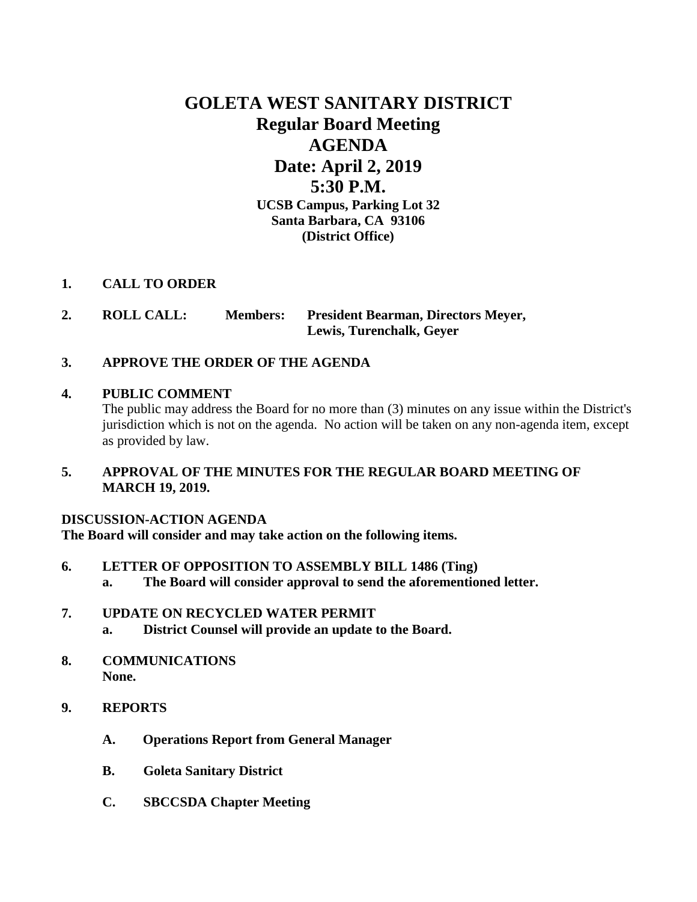# **GOLETA WEST SANITARY DISTRICT Regular Board Meeting AGENDA Date: April 2, 2019 5:30 P.M. UCSB Campus, Parking Lot 32 Santa Barbara, CA 93106 (District Office)**

## **1. CALL TO ORDER**

**2. ROLL CALL: Members: President Bearman, Directors Meyer, Lewis, Turenchalk, Geyer**

## **3. APPROVE THE ORDER OF THE AGENDA**

### **4. PUBLIC COMMENT**

The public may address the Board for no more than (3) minutes on any issue within the District's jurisdiction which is not on the agenda. No action will be taken on any non-agenda item, except as provided by law.

## **5. APPROVAL OF THE MINUTES FOR THE REGULAR BOARD MEETING OF MARCH 19, 2019.**

### **DISCUSSION-ACTION AGENDA**

**The Board will consider and may take action on the following items.**

- **6. LETTER OF OPPOSITION TO ASSEMBLY BILL 1486 (Ting)**
	- **a. The Board will consider approval to send the aforementioned letter.**

### **7. UPDATE ON RECYCLED WATER PERMIT**

- **a. District Counsel will provide an update to the Board.**
- **8. COMMUNICATIONS None.**
- **9. REPORTS**
	- **A. Operations Report from General Manager**
	- **B. Goleta Sanitary District**
	- **C. SBCCSDA Chapter Meeting**